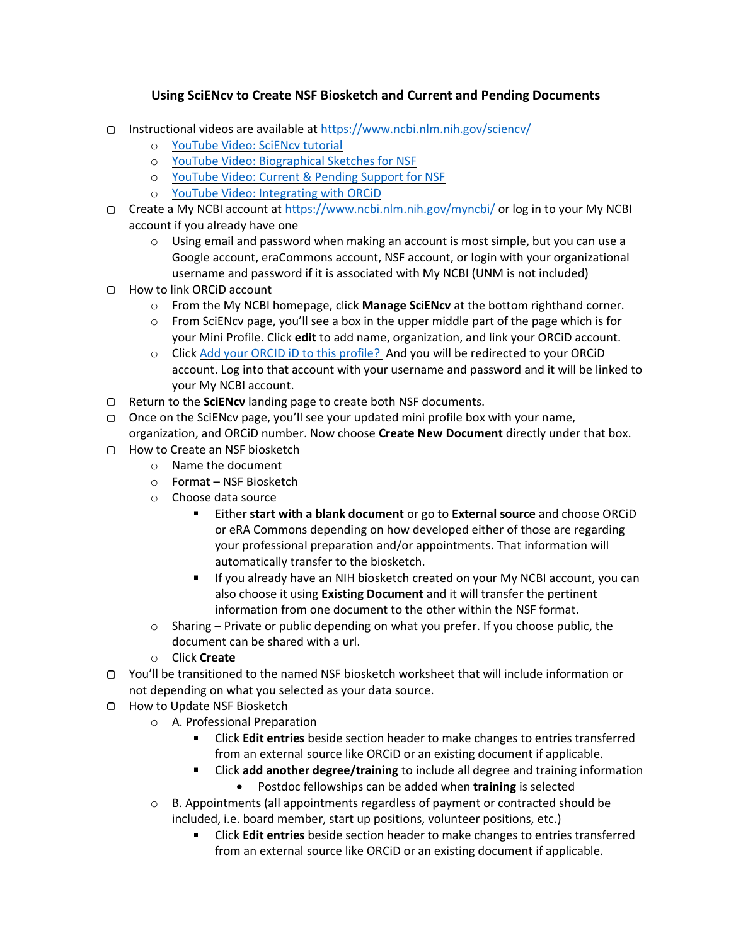## **Using SciENcv to Create NSF Biosketch and Current and Pending Documents**

- Instructional videos are available at<https://www.ncbi.nlm.nih.gov/sciencv/>
	- o [YouTube Video: SciENcv tutorial](http://youtu.be/PRWy-3GXhtU)
	- o [YouTube Video: Biographical Sketches for NSF](https://youtu.be/nk7qlbele0k)
	- o [YouTube Video: Current & Pending Support for NSF](https://youtu.be/bhWQYvEEtJs)
	- o [YouTube Video: Integrating with ORCiD](https://youtu.be/G_cKSRr7TJ4)
- Create a My NCBI account a[t https://www.ncbi.nlm.nih.gov/myncbi/](https://www.ncbi.nlm.nih.gov/myncbi/) or log in to your My NCBI account if you already have one
	- $\circ$  Using email and password when making an account is most simple, but you can use a Google account, eraCommons account, NSF account, or login with your organizational username and password if it is associated with My NCBI (UNM is not included)
- How to link ORCiD account
	- o From the My NCBI homepage, click **Manage SciENcv** at the bottom righthand corner.
	- $\circ$  From SciENcv page, you'll see a box in the upper middle part of the page which is for your Mini Profile. Click **edit** to add name, organization, and link your ORCiD account.
	- o Click Add your ORCID iD to this profile? And you will be redirected to your ORCiD account. Log into that account with your username and password and it will be linked to your My NCBI account.
- Return to the **SciENcv** landing page to create both NSF documents.
- Once on the SciENcv page, you'll see your updated mini profile box with your name, organization, and ORCiD number. Now choose **Create New Document** directly under that box.
- How to Create an NSF biosketch
	- o Name the document
	- o Format NSF Biosketch
	- o Choose data source
		- Either **start with a blank document** or go to **External source** and choose ORCiD  $\blacksquare$ or eRA Commons depending on how developed either of those are regarding your professional preparation and/or appointments. That information will automatically transfer to the biosketch.
		- If you already have an NIH biosketch created on your My NCBI account, you can also choose it using **Existing Document** and it will transfer the pertinent information from one document to the other within the NSF format.
	- $\circ$  Sharing Private or public depending on what you prefer. If you choose public, the document can be shared with a url.
	- o Click **Create**
- You'll be transitioned to the named NSF biosketch worksheet that will include information or not depending on what you selected as your data source.
- □ How to Update NSF Biosketch
	- o A. Professional Preparation
		- Click **Edit entries** beside section header to make changes to entries transferred from an external source like ORCiD or an existing document if applicable.
		- $\blacksquare$ Click **add another degree/training** to include all degree and training information • Postdoc fellowships can be added when **training** is selected
	- $\circ$  B. Appointments (all appointments regardless of payment or contracted should be included, i.e. board member, start up positions, volunteer positions, etc.)
		- Click **Edit entries** beside section header to make changes to entries transferred from an external source like ORCiD or an existing document if applicable.